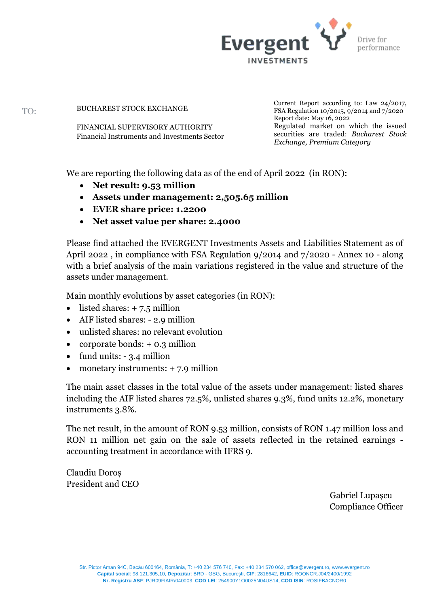

BUCHAREST STOCK EXCHANGE

FINANCIAL SUPERVISORY AUTHORITY Financial Instruments and Investments Sector Current Report according to: Law 24/2017, FSA Regulation 10/2015, 9/2014 and 7/2020 Report date: May 16, 2022 Regulated market on which the issued securities are traded: *Bucharest Stock Exchange, Premium Category*

We are reporting the following data as of the end of April 2022 (in RON):

- **Net result: 9.53 million**
- **Assets under management: 2,505.65 million**
- **EVER share price: 1.2200**
- **Net asset value per share: 2.4000**

Please find attached the EVERGENT Investments Assets and Liabilities Statement as of April 2022 , in compliance with FSA Regulation 9/2014 and 7/2020 - Annex 10 - along with a brief analysis of the main variations registered in the value and structure of the assets under management.

Main monthly evolutions by asset categories (in RON):

- listed shares:  $+ 7.5$  million
- AIF listed shares: 2.9 million
- unlisted shares: no relevant evolution
- corporate bonds:  $+ 0.3$  million
- fund units: 3.4 million
- monetary instruments:  $+ 7.9$  million

The main asset classes in the total value of the assets under management: listed shares including the AIF listed shares 72.5%, unlisted shares 9.3%, fund units 12.2%, monetary instruments 3.8%.

The net result, in the amount of RON 9.53 million, consists of RON 1.47 million loss and RON 11 million net gain on the sale of assets reflected in the retained earnings accounting treatment in accordance with IFRS 9.

Claudiu Doroș President and CEO

> Gabriel Lupașcu Compliance Officer

TO: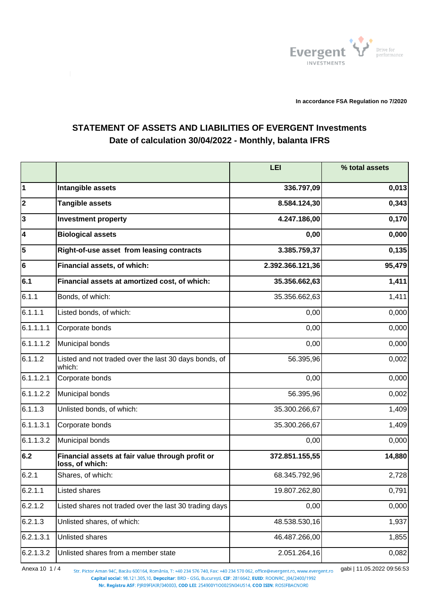

**In accordance FSA Regulation no 7/2020**

## **STATEMENT OF ASSETS AND LIABILITIES OF EVERGENT Investments Date of calculation 30/04/2022 - Monthly, balanta IFRS**

|              |                                                                     | LEI              | % total assets |
|--------------|---------------------------------------------------------------------|------------------|----------------|
| 1            | Intangible assets                                                   | 336.797,09       | 0,013          |
| $ 2\rangle$  | <b>Tangible assets</b>                                              | 8.584.124,30     | 0,343          |
| $\mathbf{3}$ | <b>Investment property</b>                                          | 4.247.186,00     | 0,170          |
| 4            | <b>Biological assets</b>                                            | 0,00             | 0,000          |
| 5            | Right-of-use asset from leasing contracts                           | 3.385.759,37     | 0,135          |
| 6            | Financial assets, of which:                                         | 2.392.366.121,36 | 95,479         |
| 6.1          | Financial assets at amortized cost, of which:                       | 35.356.662,63    | 1,411          |
| 6.1.1        | Bonds, of which:                                                    | 35.356.662,63    | 1,411          |
| 6.1.1.1      | Listed bonds, of which:                                             | 0,00             | 0,000          |
| 6.1.1.1.1    | Corporate bonds                                                     | 0,00             | 0,000          |
| 6.1.1.1.2    | Municipal bonds                                                     | 0,00             | 0,000          |
| 6.1.1.2      | Listed and not traded over the last 30 days bonds, of<br>which:     | 56.395,96        | 0,002          |
| 6.1.1.2.1    | Corporate bonds                                                     | 0,00             | 0,000          |
| 6.1.1.2.2    | Municipal bonds                                                     | 56.395,96        | 0,002          |
| 6.1.1.3      | Unlisted bonds, of which:                                           | 35.300.266,67    | 1,409          |
| 6.1.1.3.1    | Corporate bonds                                                     | 35.300.266,67    | 1,409          |
| 6.1.1.3.2    | Municipal bonds                                                     | 0,00             | 0,000          |
| 6.2          | Financial assets at fair value through profit or<br>loss, of which: | 372.851.155,55   | 14,880         |
| 6.2.1        | Shares, of which:                                                   | 68.345.792,96    | 2,728          |
| 6.2.1.1      | Listed shares                                                       | 19.807.262,80    | 0,791          |
| 6.2.1.2      | Listed shares not traded over the last 30 trading days              | 0,00             | 0,000          |
| 6.2.1.3      | Unlisted shares, of which:                                          | 48.538.530,16    | 1,937          |
| 6.2.1.3.1    | Unlisted shares                                                     | 46.487.266,00    | 1,855          |
| 6.2.1.3.2    | Unlisted shares from a member state                                 | 2.051.264,16     | 0,082          |

Anexa 10 1/4 <sub>Str. Pictor Aman 94C, Bacău 600164, România, T: +40 234 576 740, Fax: +40 234 570 062, office@evergent.ro, www.evergent.ro gabi | 11.05.2022 09:56:53</sub> Capital social: 98.121.305,10, Depozitar: BRD - GSG, București, CIF: 2816642, EUID: ROONRC, J04/2400/1992

Nr. Registru ASF: PJR09FIAIR/040003, COD LEI: 254900Y1O0025N04US14, COD ISIN: ROSIFBACNOR0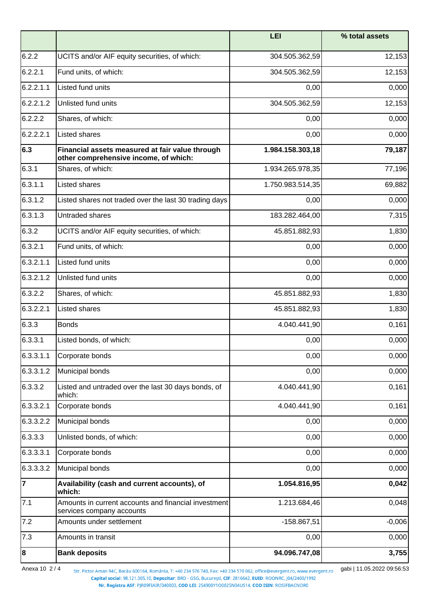|                |                                                                                          | <b>LEI</b>       | % total assets |
|----------------|------------------------------------------------------------------------------------------|------------------|----------------|
| 6.2.2          | UCITS and/or AIF equity securities, of which:                                            | 304.505.362,59   | 12,153         |
| 6.2.2.1        | Fund units, of which:                                                                    | 304.505.362,59   | 12,153         |
| 6.2.2.1.1      | Listed fund units                                                                        | 0,00             | 0,000          |
| 6.2.2.1.2      | Unlisted fund units                                                                      | 304.505.362,59   | 12,153         |
| 6.2.2.2        | Shares, of which:                                                                        | 0,00             | 0,000          |
| 6.2.2.2.1      | Listed shares                                                                            | 0,00             | 0,000          |
| 6.3            | Financial assets measured at fair value through<br>other comprehensive income, of which: | 1.984.158.303,18 | 79,187         |
| 6.3.1          | Shares, of which:                                                                        | 1.934.265.978,35 | 77,196         |
| 6.3.1.1        | Listed shares                                                                            | 1.750.983.514,35 | 69,882         |
| 6.3.1.2        | Listed shares not traded over the last 30 trading days                                   | 0,00             | 0,000          |
| 6.3.1.3        | Untraded shares                                                                          | 183.282.464,00   | 7,315          |
| 6.3.2          | UCITS and/or AIF equity securities, of which:                                            | 45.851.882,93    | 1,830          |
| 6.3.2.1        | Fund units, of which:                                                                    | 0,00             | 0,000          |
| 6.3.2.1.1      | Listed fund units                                                                        | 0,00             | 0,000          |
| 6.3.2.1.2      | Unlisted fund units                                                                      | 0,00             | 0,000          |
| 6.3.2.2        | Shares, of which:                                                                        | 45.851.882,93    | 1,830          |
| 6.3.2.2.1      | Listed shares                                                                            | 45.851.882,93    | 1,830          |
| 6.3.3          | <b>Bonds</b>                                                                             | 4.040.441,90     | 0,161          |
| 6.3.3.1        | Listed bonds, of which:                                                                  | 0,00             | 0,000          |
| 6.3.3.1.1      | Corporate bonds                                                                          | 0,00             | 0,000          |
| 6.3.3.1.2      | Municipal bonds                                                                          | 0,00             | 0,000          |
| 6.3.3.2        | Listed and untraded over the last 30 days bonds, of<br>which:                            | 4.040.441,90     | 0,161          |
| 6.3.3.2.1      | Corporate bonds                                                                          | 4.040.441,90     | 0,161          |
| 6.3.3.2.2      | Municipal bonds                                                                          | 0,00             | 0,000          |
| 6.3.3.3        | Unlisted bonds, of which:                                                                | 0,00             | 0,000          |
| 6.3.3.3.1      | Corporate bonds                                                                          | 0,00             | 0,000          |
| 6.3.3.3.2      | Municipal bonds                                                                          | 0,00             | 0,000          |
| $\overline{7}$ | Availability (cash and current accounts), of<br>which:                                   | 1.054.816,95     | 0,042          |
| 7.1            | Amounts in current accounts and financial investment<br>services company accounts        | 1.213.684,46     | 0,048          |
| 7.2            | Amounts under settlement                                                                 | $-158.867,51$    | $-0,006$       |
| 7.3            | Amounts in transit                                                                       | 0,00             | 0,000          |
| 8              | <b>Bank deposits</b>                                                                     | 94.096.747,08    | 3,755          |

Anexa 10 2 / 4 str. Pictor Aman 94C, Bacău 600164, România, T: +40 234 576 740, Fax: +40 234 570 062, office@evergent.ro, www.evergent.ro gabi | 11.05.2022 09:56:53

Nr. Registru ASF: PJR09FIAIR/040003, COD LEI: 254900Y1O0025N04US14, COD ISIN: ROSIFBACNOR0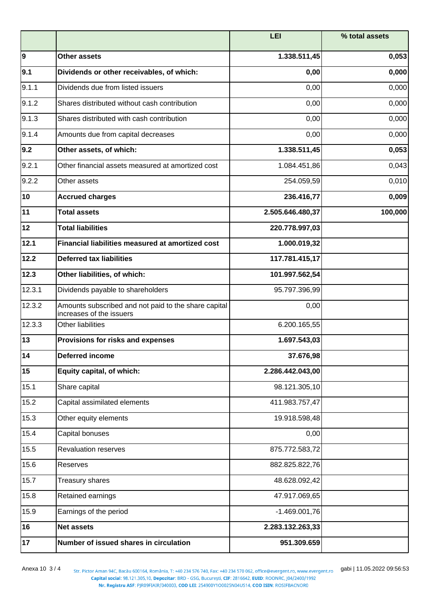|        |                                                                                  | <b>LEI</b>       | % total assets |
|--------|----------------------------------------------------------------------------------|------------------|----------------|
| 9      | <b>Other assets</b>                                                              | 1.338.511,45     | 0,053          |
| 9.1    | Dividends or other receivables, of which:                                        | 0,00             | 0,000          |
| 9.1.1  | Dividends due from listed issuers                                                | 0,00             | 0,000          |
| 9.1.2  | Shares distributed without cash contribution                                     | 0,00             | 0,000          |
| 9.1.3  | Shares distributed with cash contribution                                        | 0,00             | 0,000          |
| 9.1.4  | Amounts due from capital decreases                                               | 0,00             | 0,000          |
| 9.2    | Other assets, of which:                                                          | 1.338.511,45     | 0,053          |
| 9.2.1  | Other financial assets measured at amortized cost                                | 1.084.451,86     | 0,043          |
| 9.2.2  | Other assets                                                                     | 254.059,59       | 0,010          |
| 10     | <b>Accrued charges</b>                                                           | 236.416,77       | 0,009          |
| 11     | <b>Total assets</b>                                                              | 2.505.646.480,37 | 100,000        |
| 12     | <b>Total liabilities</b>                                                         | 220.778.997,03   |                |
| 12.1   | Financial liabilities measured at amortized cost                                 | 1.000.019,32     |                |
| 12.2   | <b>Deferred tax liabilities</b>                                                  | 117.781.415,17   |                |
| 12.3   | Other liabilities, of which:                                                     | 101.997.562,54   |                |
| 12.3.1 | Dividends payable to shareholders                                                | 95.797.396,99    |                |
| 12.3.2 | Amounts subscribed and not paid to the share capital<br>increases of the issuers | 0,00             |                |
| 12.3.3 | <b>Other liabilities</b>                                                         | 6.200.165,55     |                |
| 13     | Provisions for risks and expenses                                                | 1.697.543,03     |                |
| 14     | <b>Deferred income</b>                                                           | 37.676,98        |                |
| 15     | Equity capital, of which:                                                        | 2.286.442.043,00 |                |
| 15.1   | Share capital                                                                    | 98.121.305,10    |                |
| 15.2   | Capital assimilated elements                                                     | 411.983.757,47   |                |
| 15.3   | Other equity elements                                                            | 19.918.598,48    |                |
| 15.4   | Capital bonuses                                                                  | 0,00             |                |
| 15.5   | <b>Revaluation reserves</b>                                                      | 875.772.583,72   |                |
| 15.6   | Reserves                                                                         | 882.825.822,76   |                |
| 15.7   | Treasury shares                                                                  | 48.628.092,42    |                |
| 15.8   | Retained earnings                                                                | 47.917.069,65    |                |
| 15.9   | Earnings of the period                                                           | $-1.469.001,76$  |                |
| 16     | <b>Net assets</b>                                                                | 2.283.132.263,33 |                |
| 17     | Number of issued shares in circulation                                           | 951.309.659      |                |

Anexa 10 3 / 4 <sub>Str. Pictor Aman 94C, Bacău 600164, România, T: +40 234 576 740, Fax: +40 234 570 062, office@evergent.ro, www.evergent.ro gabi | 11.05.2022 09:56:53<br>Capital social: 98.121.305,10, Depozitar: BRD - GSG, Buc</sub> Nr. Registru ASF: PJR09FIAIR/040003, COD LEI: 254900Y1O0025N04US14, COD ISIN: ROSIFBACNOR0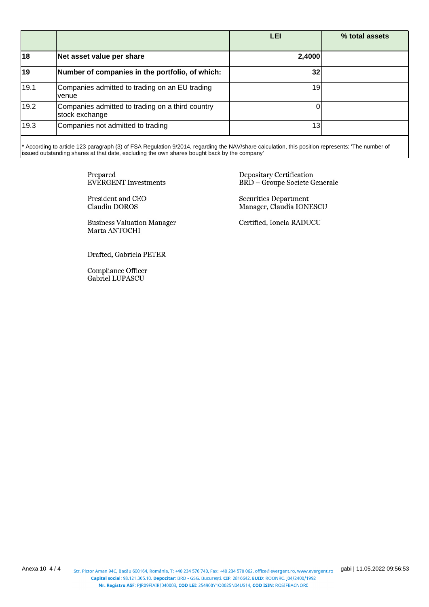|      |                                                                    | LEI             | % total assets |
|------|--------------------------------------------------------------------|-----------------|----------------|
| 18   | Net asset value per share                                          | 2,4000          |                |
| 19   | Number of companies in the portfolio, of which:                    | 32              |                |
| 19.1 | Companies admitted to trading on an EU trading<br>venue            | 19              |                |
| 19.2 | Companies admitted to trading on a third country<br>stock exchange |                 |                |
| 19.3 | Companies not admitted to trading                                  | 13 <sub>1</sub> |                |

\* According to article 123 paragraph (3) of FSA Regulation 9/2014, regarding the NAV/share calculation, this position represents: 'The number of issued outstanding shares at that date, excluding the own shares bought back by the company'

> Prepared **EVERGENT** Investments

President and CEO Claudiu DOROS

**Business Valuation Manager** Marta ANTOCHI

Drafted, Gabriela PETER

Compliance Officer Gabriel LUPASCU

Depositary Certification **BRD** - Groupe Societe Generale

Securities Department Manager, Claudia IONESCU

Certified, Ionela RADUCU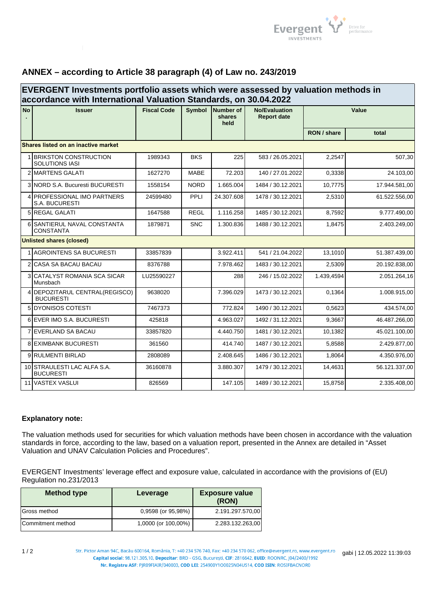

## **ANNEX – according to Article 38 paragraph (4) of Law no. 243/2019**

| EVERGENT Investments portfolio assets which were assessed by valuation methods in<br>accordance with International Valuation Standards, on 30.04.2022 |                                                       |                    |             |                                    |                                            |             |               |
|-------------------------------------------------------------------------------------------------------------------------------------------------------|-------------------------------------------------------|--------------------|-------------|------------------------------------|--------------------------------------------|-------------|---------------|
| <b>No</b>                                                                                                                                             | <b>Issuer</b>                                         | <b>Fiscal Code</b> |             | Symbol Number of<br>shares<br>held | <b>No/Evaluation</b><br><b>Report date</b> | Value       |               |
|                                                                                                                                                       |                                                       |                    |             |                                    |                                            | RON / share | total         |
|                                                                                                                                                       | Shares listed on an inactive market                   |                    |             |                                    |                                            |             |               |
|                                                                                                                                                       | <b>BRIKSTON CONSTRUCTION</b><br><b>SOLUTIONS IASI</b> | 1989343            | <b>BKS</b>  | 225                                | 583 / 26.05.2021                           | 2,2547      | 507,30        |
|                                                                                                                                                       | 2 MARTENS GALATI                                      | 1627270            | <b>MABE</b> | 72.203                             | 140 / 27.01.2022                           | 0,3338      | 24.103,00     |
|                                                                                                                                                       | 3 NORD S.A. Bucuresti BUCURESTI                       | 1558154            | <b>NORD</b> | 1.665.004                          | 1484 / 30.12.2021                          | 10.7775     | 17.944.581,00 |
|                                                                                                                                                       | 4 <b>PROFESSIONAL IMO PARTNERS</b><br>S.A. BUCURESTI  | 24599480           | PPLI        | 24.307.608                         | 1478 / 30.12.2021                          | 2,5310      | 61.522.556,00 |
|                                                                                                                                                       | 5 REGAL GALATI                                        | 1647588            | <b>REGL</b> | 1.116.258                          | 1485 / 30.12.2021                          | 8,7592      | 9.777.490,00  |
|                                                                                                                                                       | 6 SANTIERUL NAVAL CONSTANTA<br><b>CONSTANTA</b>       | 1879871            | <b>SNC</b>  | 1.300.836                          | 1488 / 30.12.2021                          | 1,8475      | 2.403.249,00  |
|                                                                                                                                                       | <b>Unlisted shares (closed)</b>                       |                    |             |                                    |                                            |             |               |
|                                                                                                                                                       | 1 AGROINTENS SA BUCURESTI                             | 33857839           |             | 3.922.411                          | 541 / 21.04.2022                           | 13,1010     | 51.387.439,00 |
|                                                                                                                                                       | 2 CASA SA BACAU BACAU                                 | 8376788            |             | 7.978.462                          | 1483 / 30.12.2021                          | 2,5309      | 20.192.838,00 |
|                                                                                                                                                       | <b>3 CATALYST ROMANIA SCA SICAR</b><br>Munsbach       | LU25590227         |             | 288                                | 246 / 15.02.2022                           | 1.439,4594  | 2.051.264,16  |
|                                                                                                                                                       | 4 DEPOZITARUL CENTRAL(REGISCO)<br><b>BUCURESTI</b>    | 9638020            |             | 7.396.029                          | 1473 / 30.12.2021                          | 0.1364      | 1.008.915,00  |
|                                                                                                                                                       | 5 DYONISOS COTESTI                                    | 7467373            |             | 772.824                            | 1490 / 30.12.2021                          | 0.5623      | 434.574,00    |
|                                                                                                                                                       | 6 EVER IMO S.A. BUCURESTI                             | 425818             |             | 4.963.027                          | 1492 / 31.12.2021                          | 9,3667      | 46.487.266,00 |
|                                                                                                                                                       | <b>7 EVERLAND SA BACAU</b>                            | 33857820           |             | 4.440.750                          | 1481 / 30.12.2021                          | 10.1382     | 45.021.100,00 |
|                                                                                                                                                       | <b>8 EXIMBANK BUCURESTI</b>                           | 361560             |             | 414.740                            | 1487 / 30.12.2021                          | 5.8588      | 2.429.877,00  |
|                                                                                                                                                       | 9 RULMENTI BIRLAD                                     | 2808089            |             | 2.408.645                          | 1486 / 30.12.2021                          | 1.8064      | 4.350.976,00  |
|                                                                                                                                                       | 10 STRAULESTI LAC ALFA S.A.<br><b>BUCURESTI</b>       | 36160878           |             | 3.880.307                          | 1479 / 30.12.2021                          | 14,4631     | 56.121.337,00 |
|                                                                                                                                                       | 11 VASTEX VASLUI                                      | 826569             |             | 147.105                            | 1489 / 30.12.2021                          | 15,8758     | 2.335.408,00  |

## **Explanatory note:**

The valuation methods used for securities for which valuation methods have been chosen in accordance with the valuation standards in force, according to the law, based on a valuation report, presented in the Annex are detailed in "Asset Valuation and UNAV Calculation Policies and Procedures".

EVERGENT Investments' leverage effect and exposure value, calculated in accordance with the provisions of (EU) Regulation no.231/2013

| Method type       | Leverage            | <b>Exposure value</b><br>(RON) |
|-------------------|---------------------|--------------------------------|
| Gross method      | 0,9598 (or 95,98%)  | 2.191.297.570,00               |
| Commitment method | 1,0000 (or 100,00%) | 2.283.132.263.00               |

Str. Pictor Aman 94C, Bacău 600164, România, T: +40 234 576 740, Fax: +40 234 570 062, office@evergent.ro, www.evergent.ro gabi | 12.05.2022 11:39:03<br>Capital social: 98.121.305.10, Depozitar: BRD - GSG, București, CIF: 281 .<br>Nr. Registru ASF: PJR09FIAIR/040003, COD LEI: 254900Y1O0025N04US14, COD ISIN: ROSIFBACNOR0